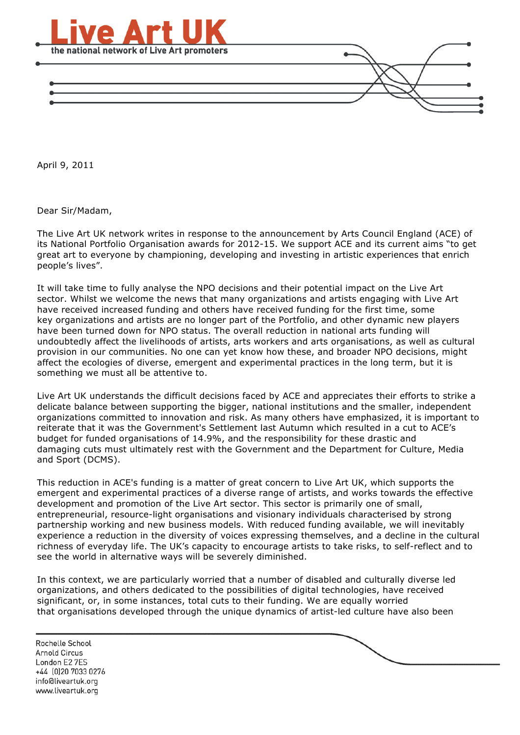

April 9, 2011

Dear Sir/Madam,

The Live Art UK network writes in response to the announcement by Arts Council England (ACE) of its National Portfolio Organisation awards for 2012-15. We support ACE and its current aims "to get great art to everyone by championing, developing and investing in artistic experiences that enrich people's lives".

It will take time to fully analyse the NPO decisions and their potential impact on the Live Art sector. Whilst we welcome the news that many organizations and artists engaging with Live Art have received increased funding and others have received funding for the first time, some key organizations and artists are no longer part of the Portfolio, and other dynamic new players have been turned down for NPO status. The overall reduction in national arts funding will undoubtedly affect the livelihoods of artists, arts workers and arts organisations, as well as cultural provision in our communities. No one can yet know how these, and broader NPO decisions, might affect the ecologies of diverse, emergent and experimental practices in the long term, but it is something we must all be attentive to.

Live Art UK understands the difficult decisions faced by ACE and appreciates their efforts to strike a delicate balance between supporting the bigger, national institutions and the smaller, independent organizations committed to innovation and risk. As many others have emphasized, it is important to reiterate that it was the Government's Settlement last Autumn which resulted in a cut to ACE's budget for funded organisations of 14.9%, and the responsibility for these drastic and damaging cuts must ultimately rest with the Government and the Department for Culture, Media and Sport (DCMS).

This reduction in ACE's funding is a matter of great concern to Live Art UK, which supports the emergent and experimental practices of a diverse range of artists, and works towards the effective development and promotion of the Live Art sector. This sector is primarily one of small, entrepreneurial, resource-light organisations and visionary individuals characterised by strong partnership working and new business models. With reduced funding available, we will inevitably experience a reduction in the diversity of voices expressing themselves, and a decline in the cultural richness of everyday life. The UK's capacity to encourage artists to take risks, to self-reflect and to see the world in alternative ways will be severely diminished.

In this context, we are particularly worried that a number of disabled and culturally diverse led organizations, and others dedicated to the possibilities of digital technologies, have received significant, or, in some instances, total cuts to their funding. We are equally worried that organisations developed through the unique dynamics of artist-led culture have also been

Rochelle School Arnold Circus London E2 7ES +44 (0)20 7033 0276 info@liveartuk.org www.liveartuk.org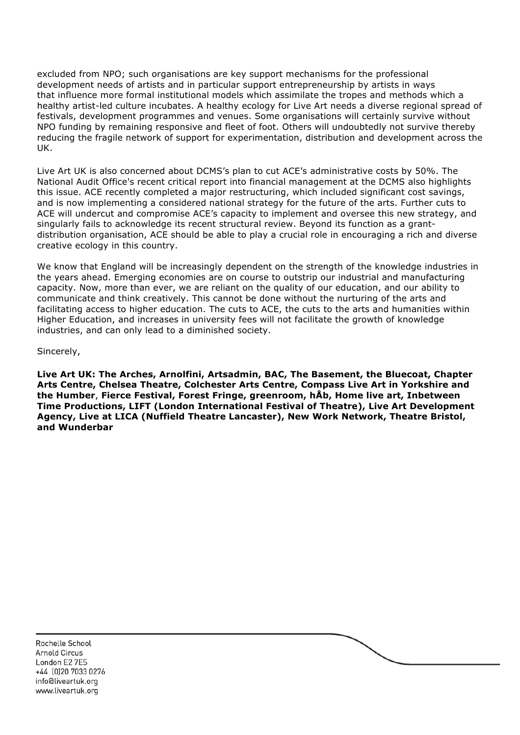excluded from NPO; such organisations are key support mechanisms for the professional development needs of artists and in particular support entrepreneurship by artists in ways that influence more formal institutional models which assimilate the tropes and methods which a healthy artist-led culture incubates. A healthy ecology for Live Art needs a diverse regional spread of festivals, development programmes and venues. Some organisations will certainly survive without NPO funding by remaining responsive and fleet of foot. Others will undoubtedly not survive thereby reducing the fragile network of support for experimentation, distribution and development across the UK.

Live Art UK is also concerned about DCMS's plan to cut ACE's administrative costs by 50%. The National Audit Office's recent critical report into financial management at the DCMS also highlights this issue. ACE recently completed a major restructuring, which included significant cost savings, and is now implementing a considered national strategy for the future of the arts. Further cuts to ACE will undercut and compromise ACE's capacity to implement and oversee this new strategy, and singularly fails to acknowledge its recent structural review. Beyond its function as a grantdistribution organisation, ACE should be able to play a crucial role in encouraging a rich and diverse creative ecology in this country.

We know that England will be increasingly dependent on the strength of the knowledge industries in the years ahead. Emerging economies are on course to outstrip our industrial and manufacturing capacity. Now, more than ever, we are reliant on the quality of our education, and our ability to communicate and think creatively. This cannot be done without the nurturing of the arts and facilitating access to higher education. The cuts to ACE, the cuts to the arts and humanities within Higher Education, and increases in university fees will not facilitate the growth of knowledge industries, and can only lead to a diminished society.

Sincerely,

**Live Art UK: The Arches, Arnolfini, Artsadmin, BAC, The Basement, the Bluecoat, Chapter Arts Centre, Chelsea Theatre, Colchester Arts Centre, Compass Live Art in Yorkshire and the Humber**, **Fierce Festival, Forest Fringe, greenroom, hÅb, Home live art, Inbetween Time Productions, LIFT (London International Festival of Theatre), Live Art Development Agency, Live at LICA (Nuffield Theatre Lancaster), New Work Network, Theatre Bristol, and Wunderbar**